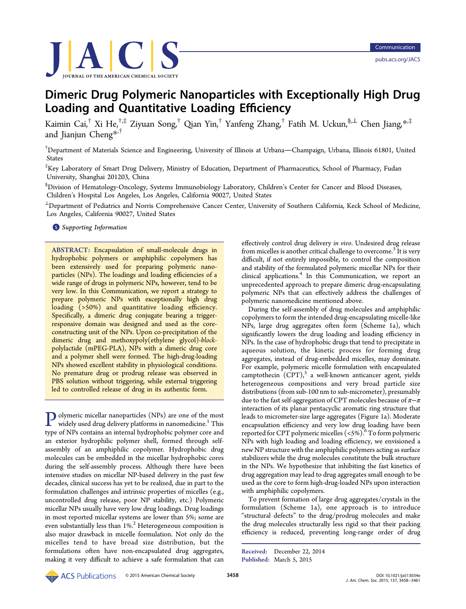

# Dimeric Drug Polymeric Nanoparticles with Exceptionally High Drug Loading and Quantitative Loading Efficiency

Kaimin Cai,<sup>†</sup> Xi He,<sup>†,‡</sup> Ziyuan Song,<sup>†</sup> Qian Yin,<sup>†</sup> Yanfeng Zhang,<sup>†</sup> Fatih M. Uckun,<sup>§,⊥</sup> Chen Jiang,\*<sup>,‡</sup> and Jianjun Cheng<sup>\*,†</sup>

†Department of Materi[als](#page-3-0) Science and Engineering, University of Illinois at Urbana—Champaign, Urbana, Illinois 61801, United States

‡ Key Laboratory of Smart Drug Delivery, Ministry of Education, Department of Pharmaceutics, School of Pharmacy, Fudan University, Shanghai 201203, China

§ Division of Hematology-Oncology, Systems Immunobiology Laboratory, Children's Center for Cancer and Blood Diseases, Children's Hospital Los Angeles, Los Angeles, California 90027, United States

<sup>⊥</sup>Department of Pediatrics and Norris Comprehensive Cancer Center, University of Southern California, Keck School of Medicine, Los Angeles, California 90027, United States

**S** Supporting Information

[AB](#page-3-0)STRACT: [Encapsulation](#page-3-0) of small-molecule drugs in hydrophobic polymers or amphiphilic copolymers has been extensively used for preparing polymeric nanoparticles (NPs). The loadings and loading efficiencies of a wide range of drugs in polymeric NPs, however, tend to be very low. In this Communication, we report a strategy to prepare polymeric NPs with exceptionally high drug loading (>50%) and quantitative loading efficiency. Specifically, a dimeric drug conjugate bearing a triggerresponsive domain was designed and used as the coreconstructing unit of the NPs. Upon co-precipitation of the dimeric drug and methoxypoly(ethylene glycol)-blockpolylactide (mPEG-PLA), NPs with a dimeric drug core and a polymer shell were formed. The high-drug-loading NPs showed excellent stability in physiological conditions. No premature drug or prodrug release was observed in PBS solution without triggering, while external triggering led to controlled release of drug in its authentic form.

**P** olymeric micellar nanoparticles (NPs) are one of the most<br>widely used drug delivery platforms in nanomedicine.<sup>1</sup> This type of NPs contains an internal hydrophobic polymer core and an exterior hydrophilic polymer shell, formed throug[h](#page-3-0) selfassembly of an amphiphilic copolymer. Hydrophobic drug molecules can be embedded in the micellar hydrophobic cores during the self-assembly process. Although there have been intensive studies on micellar NP-based delivery in the past few decades, clinical success has yet to be realized, due in part to the formulation challenges and intrinsic properties of micelles (e.g., uncontrolled drug release, poor NP stability, etc.) Polymeric micellar NPs usually have very low drug loadings. Drug loadings in most reported micellar systems are lower than 5%; some are even substantially less than  $1\%$ <sup>2</sup> Heterogeneous composition is also major drawback in micelle formulation. Not only do the micelles tend to have bro[ad](#page-3-0) size distribution, but the formulations often have non-encapsulated drug aggregates, making it very difficult to achieve a safe formulation that can effectively control drug delivery in vivo. Undesired drug release from micelles is another critical challenge to overcome.<sup>3</sup> It is very difficult, if not entirely impossible, to control the composition and stability of the formulated polymeric micellar NP[s](#page-3-0) for their clinical applications.<sup>4</sup> In this Communication, we report an unprecedented approach to prepare dimeric drug-encapsulating polymeric NPs that can effectively address the challenges of polymeric nanomedicine mentioned above.

During the self-assembly of drug molecules and amphiphilic copolymers to form the intended drug-encapsulating micelle-like NPs, large drug aggregates often form (Scheme 1a), which significantly lowers the drug loading and loading efficiency in NPs. In the case of hydrophobic drugs that tend to p[re](#page-1-0)cipitate in aqueous solution, the kinetic process for forming drug aggregates, instead of drug-embedded micelles, may dominate. For example, polymeric micelle formulation with encapsulated camptothecin  $(CPT)$ ,<sup>5</sup> a well-known anticancer agent, yields heterogeneous compositions and very broad particle size distributions (from su[b-](#page-3-0)100 nm to sub-micrometer), presumably due to the fast self-aggregation of CPT molecules because of  $\pi-\pi$ interaction of its planar pentacyclic aromatic ring structure that leads to micrometer-size large aggregates (Figure 1a). Moderate encapsulation efficiency and very low drug loading have been rep[or](#page-1-0)ted for CPT polymeric micelles  $( $5\%$ ).<sup>6</sup> To form polymeric$ NPs with high loading and loading efficiency, we envisioned a new NP structure with the amphiphilic poly[m](#page-3-0)ers acting as surface stabilizers while the drug molecules constitute the bulk structure in the NPs. We hypothesize that inhibiting the fast kinetics of drug aggregation may lead to drug aggregates small enough to be used as the core to form high-drug-loaded NPs upon interaction with amphiphilic copolymers.

To prevent formation of large drug aggregates/crystals in the formulation (Scheme 1a), one approach is to introduce "structural defects" to the drug/prodrug molecules and make the drug molecules stru[ct](#page-1-0)urally less rigid so that their packing efficiency is reduced, preventing long-range order of drug

Received: December 22, 2014 Published: March 5, 2015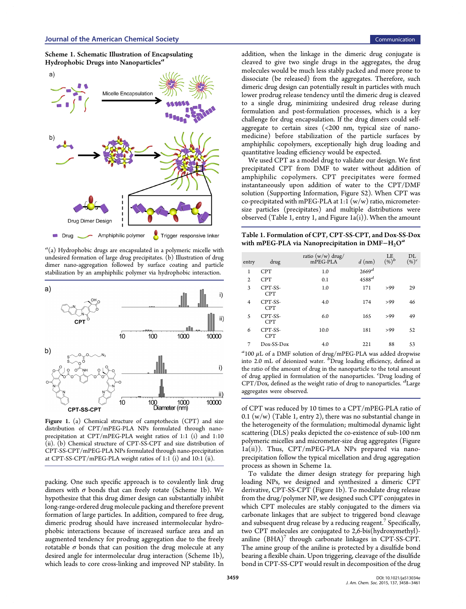<span id="page-1-0"></span>



 $a(a)$  Hydrophobic drugs are encapsulated in a polymeric micelle with undesired formation of large drug precipitates. (b) Illustration of drug dimer nano-aggregation followed by surface coating and particle stabilization by an amphiphilic polymer via hydrophobic interaction.



Figure 1. (a) Chemical structure of camptothecin (CPT) and size distribution of CPT/mPEG-PLA NPs formulated through nanoprecipitation at CPT/mPEG-PLA weight ratios of 1:1 (i) and 1:10 (ii). (b) Chemical structure of CPT-SS-CPT and size distribution of CPT-SS-CPT/mPEG-PLA NPs formulated through nano-precipitation at CPT-SS-CPT/mPEG-PLA weight ratios of 1:1 (i) and 10:1 (ii).

packing. One such specific approach is to covalently link drug dimers with  $\sigma$  bonds that can freely rotate (Scheme 1b). We hypothesize that this drug dimer design can substantially inhibit long-range-ordered drug molecule packing and therefore prevent formation of large particles. In addition, compared to free drug, dimeric prodrug should have increased intermolecular hydrophobic interactions because of increased surface area and an augmented tendency for prodrug aggregation due to the freely rotatable  $\sigma$  bonds that can position the drug molecule at any desired angle for intermolecular drug interaction (Scheme 1b), which leads to core cross-linking and improved NP stability. In

addition, when the linkage in the dimeric drug conjugate is cleaved to give two single drugs in the aggregates, the drug molecules would be much less stably packed and more prone to dissociate (be released) from the aggregates. Therefore, such dimeric drug design can potentially result in particles with much lower prodrug release tendency until the dimeric drug is cleaved to a single drug, minimizing undesired drug release during formulation and post-formulation processes, which is a key challenge for drug encapsulation. If the drug dimers could selfaggregate to certain sizes  $\left($  <200 nm, typical size of nanomedicine) before stabilization of the particle surfaces by amphiphilic copolymers, exceptionally high drug loading and quantitative loading efficiency would be expected.

We used CPT as a model drug to validate our design. We first precipitated CPT from DMF to water without addition of amphiphilic copolymers. CPT precipitates were formed instantaneously upon addition of water to the CPT/DMF solution (Supporting Information, Figure S2). When CPT was co-precipitated with mPEG-PLA at 1:1  $(w/w)$  ratio, micrometersize parti[cles \(precipitates\) and multiple d](#page-3-0)istributions were observed (Table 1, entry 1, and Figure  $1a(i)$ ). When the amount

Table 1. Formulation of CPT, CPT-SS-CPT, and Dox-SS-Dox with mPEG-PLA via Nanoprecipitation in DMF $-H_2O^a$ 

| entry          | drug                  | ratio $(w/w)$ drug/<br>mPEG-PLA | $d$ (nm)          | LE<br>$(%)^b$ | DL<br>$(\%)^c$ |
|----------------|-----------------------|---------------------------------|-------------------|---------------|----------------|
| 1              | <b>CPT</b>            | 1.0                             | 2669 <sup>d</sup> |               |                |
| 2              | <b>CPT</b>            | 0.1                             | $4588^d$          |               |                |
| 3              | CPT-SS-<br><b>CPT</b> | 1.0                             | 171               | >99           | 29             |
| $\overline{4}$ | CPT-SS-<br><b>CPT</b> | 4.0                             | 174               | >99           | 46             |
| 5              | CPT-SS-<br><b>CPT</b> | 6.0                             | 165               | >99           | 49             |
| 6              | CPT-SS-<br><b>CPT</b> | 10.0                            | 181               | >99           | 52             |
| 7              | Dox-SS-Dox            | 4.0                             | 221               | 88            | 53             |

 $a_{100\ \mu L}$  of a DMF solution of drug/mPEG-PLA was added dropwise into 2.0 mL of deionized water. <sup>b</sup>Drug loading efficiency, defined as the ratio of the amount of drug in the nanoparticle to the total amount of drug applied in formulation of the nanoparticles. <sup>c</sup>Drug loading of CPT/Dox, defined as the weight ratio of drug to nanoparticles. <sup>d</sup>Large aggregates were observed.

of CPT was reduced by 10 times to a CPT/mPEG-PLA ratio of 0.1 (w/w) (Table 1, entry 2), there was no substantial change in the heterogeneity of the formulation; multimodal dynamic light scattering (DLS) peaks depicted the co-existence of sub-100 nm polymeric micelles and micrometer-size drug aggregates (Figure 1a(ii)). Thus, CPT/mPEG-PLA NPs prepared via nanoprecipitation follow the typical micellation and drug aggregation process as shown in Scheme 1a.

To validate the dimer design strategy for preparing high loading NPs, we designed and synthesized a dimeric CPT derivative, CPT-SS-CPT (Figure 1b). To modulate drug release from the drug/polymer NP, we designed such CPT conjugates in which CPT molecules are stably conjugated to the dimers via carbonate linkages that are subject to triggered bond cleavage and subsequent drug release by a reducing reagent.<sup>7</sup> Specifically, two CPT molecules are conjugated to 2,6-bis(hydroxymethyl) aniline  $(BHA)^7$  through carbonate linkages in [CP](#page-3-0)T-SS-CPT. The amine group of the aniline is protected by a disulfide bond bearing a flexib[le](#page-3-0) chain. Upon triggering, cleavage of the disulfide bond in CPT-SS-CPT would result in decomposition of the drug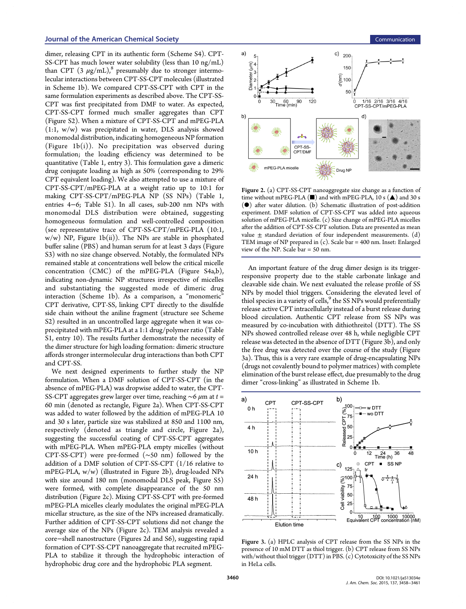### <span id="page-2-0"></span>Journal of the American Chemical Society Communication Communication Communication

dimer, releasing CPT in its authentic form (Scheme S4). CPT-SS-CPT has much lower water solubility (less than 10 ng/mL) than CPT  $(3 \mu g/mL)$ ,<sup>8</sup> presumably due to [stronger in](#page-3-0)termolecular interactions between CPT-SS-CPT molecules (illustrated in Scheme 1b). We co[m](#page-3-0)pared CPT-SS-CPT with CPT in the same formulation experiments as described above. The CPT-SS-CPT was fi[rs](#page-1-0)t precipitated from DMF to water. As expected, CPT-SS-CPT formed much smaller aggregates than CPT (Figure S2). When a mixture of CPT-SS-CPT and mPEG-PLA (1:1, w/w) was precipitated in water, DLS analysis showed [monomoda](#page-3-0)l distribution, indicating homogeneous NP formation (Figure  $1b(i)$ ). No precipitation was observed during formulation; the loading efficiency was determined to be quantitati[ve](#page-1-0) (Table 1, entry 3). This formulation gave a dimeric drug conjugate loading as high as 50% (corresponding to 29% CPT equivalent loa[di](#page-1-0)ng). We also attempted to use a mixture of CPT-SS-CPT/mPEG-PLA at a weight ratio up to 10:1 for making CPT-SS-CPT/mPEG-PLA NP (SS NPs) (Table 1, entries 4−6; Table S1). In all cases, sub-200 nm NPs with monomodal DLS distribution were obtained, suggesti[ng](#page-1-0) homogeneous [formula](#page-3-0)tion and well-controlled composition (see representative trace of CPT-SS-CPT/mPEG-PLA (10:1,  $w/w$ ) NP, Figure 1b(ii)). The NPs are stable in phosphated buffer saline (PBS) and human serum for at least 3 days (Figure S3) with no size ch[an](#page-1-0)ge observed. Notably, the formulated NPs remained stable at concentrations well below the critical [micelle](#page-3-0) [con](#page-3-0)centration (CMC) of the mPEG-PLA (Figure S4a,b), indicating non-dynamic NP structures irrespective of micelles and substantiating the suggested mode of [dimeric dru](#page-3-0)g interaction (Scheme 1b). As a comparison, a "monomeric" CPT derivative, CPT-SS, linking CPT directly to the disulfide side chain without th[e a](#page-1-0)niline fragment (structure see Scheme S2) resulted in an uncontrolled large aggregate when it was coprecipitated with mPEG-PLA at a 1:1 drug/polymer rati[o \(Table](#page-3-0) [S1,](#page-3-0) entry 10). The results further demonstrate the necessity of the dimer structure for high loading formation: dimeric str[ucture](#page-3-0) affords stronger intermolecular drug interactions than both CPT [and](#page-3-0) CPT-SS.

We next designed experiments to further study the NP formulation. When a DMF solution of CPT-SS-CPT (in the absence of mPEG-PLA) was dropwise added to water, the CPT-SS-CPT aggregates grew larger over time, reaching  $\sim$ 6  $\mu$ m at t = 60 min (denoted as rectangle, Figure 2a). When CPT-SS-CPT was added to water followed by the addition of mPEG-PLA 10 and 30 s later, particle size was stabilized at 850 and 1100 nm, respectively (denoted as triangle and circle, Figure 2a), suggesting the successful coating of CPT-SS-CPT aggregates with mPEG-PLA. When mPEG-PLA empty micelles (without CPT-SS-CPT) were pre-formed (∼50 nm) followed by the addition of a DMF solution of CPT-SS-CPT (1/16 relative to mPEG-PLA, w/w) (illustrated in Figure 2b), drug-loaded NPs with size around 180 nm (monomodal DLS peak, Figure S5) were formed, with complete disappearance of the 50 nm distribution (Figure 2c). Mixing CPT-SS-CPT with [pre-formed](#page-3-0) mPEG-PLA micelles clearly modulates the original mPEG-PLA micellar structure, as the size of the NPs increased dramatically. Further addition of CPT-SS-CPT solutions did not change the average size of the NPs (Figure 2c). TEM analysis revealed a core−shell nanostructure (Figures 2d and S6), suggesting rapid formation of CPT-SS-CPT nanoaggregate that recruited mPEG-PLA to stabilize it through the hydrop[hob](#page-3-0)ic interaction of hydrophobic drug core and the hydrophobic PLA segment.



Figure 2. (a) CPT-SS-CPT nanoaggregate size change as a function of time without mPEG-PLA  $(\blacksquare)$  and with mPEG-PLA, 10 s  $(\blacktriangle)$  and 30 s (●) after water dilution. (b) Schematic illustration of post-addition experiment. DMF solution of CPT-SS-CPT was added into aqueous solution of mPEG-PLA micelle. (c) Size change of mPEG-PLA micelles after the addition of CPT-SS-CPT solution. Data are presented as mean value  $\pm$  standard deviation of four independent measurements. (d) TEM image of NP prepared in (c). Scale bar = 400 nm. Inset: Enlarged view of the NP. Scale bar = 50 nm.

An important feature of the drug dimer design is its triggerresponsive property due to the stable carbonate linkage and cleavable side chain. We next evaluated the release profile of SS NPs by model thiol triggers. Considering the elevated level of thiol species in a variety of cells,<sup>9</sup> the SS NPs would preferentially release active CPT intracellularly instead of a burst release during blood circulation. Authentic [C](#page-3-0)PT release from SS NPs was measured by co-incubation with dithiothreitol (DTT). The SS NPs showed controlled release over 48 h, while negligible CPT release was detected in the absence of DTT (Figure 3b), and only the free drug was detected over the course of the study (Figure 3a). Thus, this is a very rare example of drug-encapsulating NPs (drugs not covalently bound to polymer matrices) with complete elimination of the burst release effect, due presumably to the drug dimer "cross-linking" as illustrated in Scheme 1b.



Figure 3. (a) HPLC analysis of CPT release from the SS NPs in the presence of 10 mM DTT as thiol trigger. (b) CPT release from SS NPs with/without thiol trigger (DTT) in PBS. (c) Cytotoxicity of the SS NPs in HeLa cells.